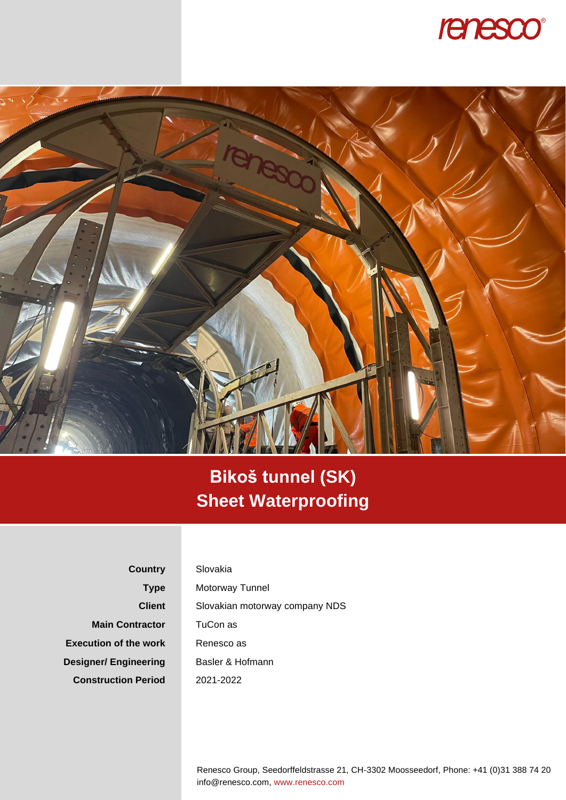



## **Bikoš tunnel (SK) Sheet Waterproofing**

**Country Type Client Main Contractor Execution of the work Designer/ Engineering Construction Period**

## Slovakia

Motorway Tunnel Slovakian motorway company NDS TuCon as Renesco as Basler & Hofmann 2021-2022